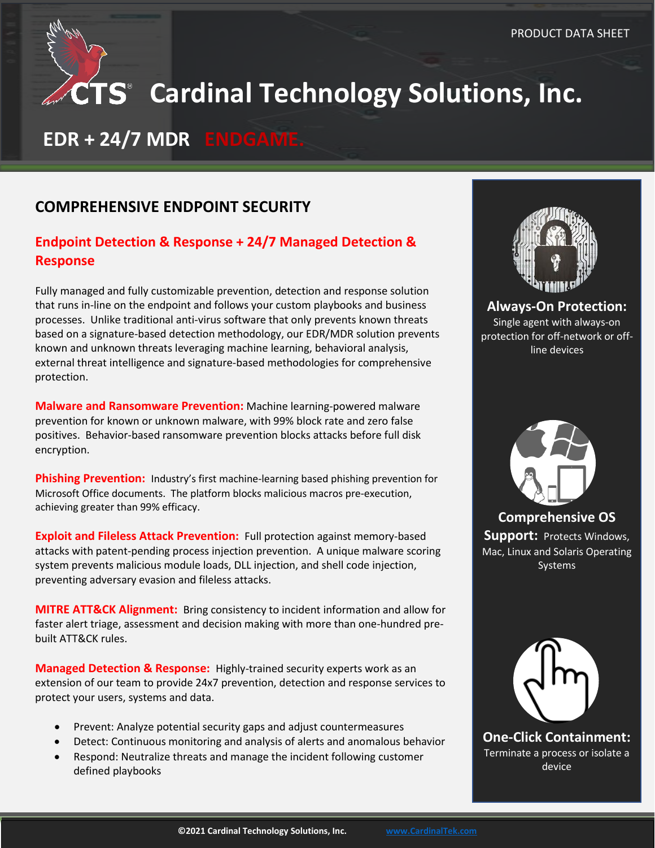# **CTS** Cardinal Technology Solutions, Inc.

## **EDR + 24/7 MDR ENDGAME.**

## **COMPREHENSIVE ENDPOINT SECURITY**

## **Endpoint Detection & Response + 24/7 Managed Detection & Response**

Fully managed and fully customizable prevention, detection and response solution that runs in-line on the endpoint and follows your custom playbooks and business processes. Unlike traditional anti-virus software that only prevents known threats based on a signature-based detection methodology, our EDR/MDR solution prevents known and unknown threats leveraging machine learning, behavioral analysis, external threat intelligence and signature-based methodologies for comprehensive protection.

**Malware and Ransomware Prevention:** Machine learning-powered malware prevention for known or unknown malware, with 99% block rate and zero false positives. Behavior-based ransomware prevention blocks attacks before full disk encryption.

**Phishing Prevention:** Industry's first machine-learning based phishing prevention for Microsoft Office documents. The platform blocks malicious macros pre-execution, achieving greater than 99% efficacy.

**Exploit and Fileless Attack Prevention:** Full protection against memory-based attacks with patent-pending process injection prevention. A unique malware scoring system prevents malicious module loads, DLL injection, and shell code injection, preventing adversary evasion and fileless attacks.

**MITRE ATT&CK Alignment:** Bring consistency to incident information and allow for faster alert triage, assessment and decision making with more than one-hundred prebuilt ATT&CK rules.

**Managed Detection & Response:** Highly-trained security experts work as an extension of our team to provide 24x7 prevention, detection and response services to protect your users, systems and data.

- Prevent: Analyze potential security gaps and adjust countermeasures
- Detect: Continuous monitoring and analysis of alerts and anomalous behavior
- Respond: Neutralize threats and manage the incident following customer defined playbooks



**Always-On Protection:** Single agent with always-on protection for off-network or offline devices



**Comprehensive OS Support:** Protects Windows, Mac, Linux and Solaris Operating **Systems** 



**One-Click Containment:** Terminate a process or isolate a device